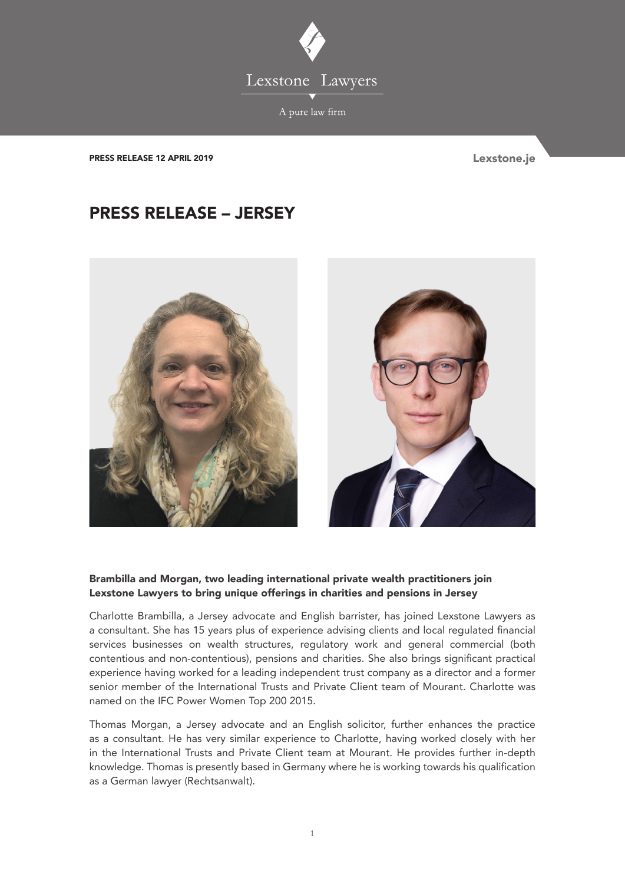

PRESS RELEASE 12 APRIL 2019 **Lexstone.je** 

## PRESS RELEASE – JERSEY



## Brambilla and Morgan, two leading international private wealth practitioners join Lexstone Lawyers to bring unique offerings in charities and pensions in Jersey

Charlotte Brambilla, a Jersey advocate and English barrister, has joined Lexstone Lawyers as a consultant. She has 15 years plus of experience advising clients and local regulated financial services businesses on wealth structures, regulatory work and general commercial (both contentious and non-contentious), pensions and charities. She also brings significant practical experience having worked for a leading independent trust company as a director and a former senior member of the International Trusts and Private Client team of Mourant. Charlotte was named on the IFC Power Women Top 200 2015.

Thomas Morgan, a Jersey advocate and an English solicitor, further enhances the practice as a consultant. He has very similar experience to Charlotte, having worked closely with her in the International Trusts and Private Client team at Mourant. He provides further in-depth knowledge. Thomas is presently based in Germany where he is working towards his qualification as a German lawyer (Rechtsanwalt).